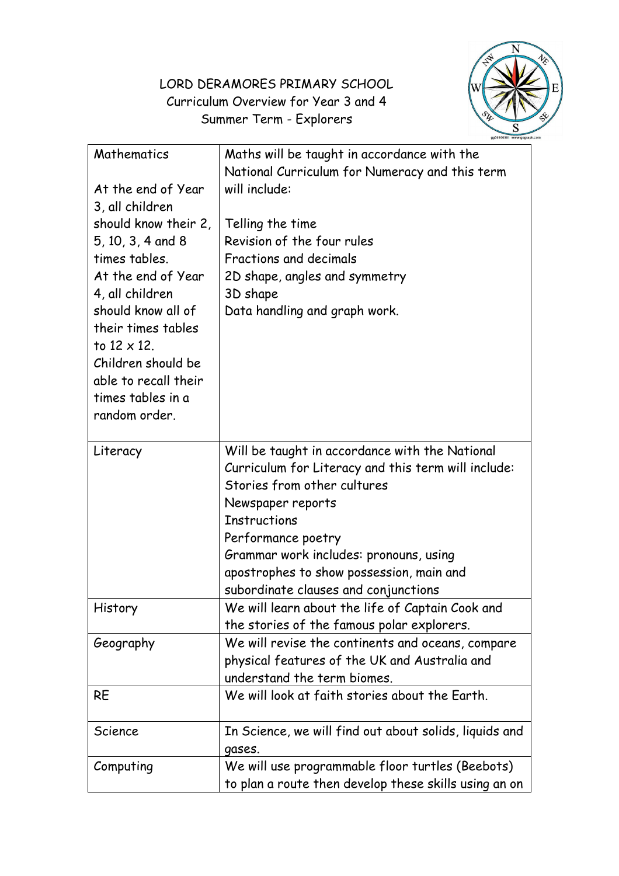## LORD DERAMORES PRIMARY SCHOOL Curriculum Overview for Year 3 and 4 Summer Term - Explorers



| Mathematics<br>At the end of Year<br>3, all children<br>should know their 2,<br>5, 10, 3, 4 and 8<br>times tables.                 | Maths will be taught in accordance with the<br>National Curriculum for Numeracy and this term<br>will include:<br>Telling the time<br>Revision of the four rules<br>Fractions and decimals                                                                                                                                           |
|------------------------------------------------------------------------------------------------------------------------------------|--------------------------------------------------------------------------------------------------------------------------------------------------------------------------------------------------------------------------------------------------------------------------------------------------------------------------------------|
| At the end of Year                                                                                                                 | 2D shape, angles and symmetry                                                                                                                                                                                                                                                                                                        |
| 4, all children                                                                                                                    | 3D shape                                                                                                                                                                                                                                                                                                                             |
| should know all of<br>their times tables<br>to $12 \times 12$ .<br>Children should be<br>able to recall their<br>times tables in a | Data handling and graph work.                                                                                                                                                                                                                                                                                                        |
| random order.                                                                                                                      |                                                                                                                                                                                                                                                                                                                                      |
| Literacy                                                                                                                           | Will be taught in accordance with the National<br>Curriculum for Literacy and this term will include:<br>Stories from other cultures<br>Newspaper reports<br><b>Instructions</b><br>Performance poetry<br>Grammar work includes: pronouns, using<br>apostrophes to show possession, main and<br>subordinate clauses and conjunctions |
| History                                                                                                                            | We will learn about the life of Captain Cook and<br>the stories of the famous polar explorers.                                                                                                                                                                                                                                       |
| Geography                                                                                                                          | We will revise the continents and oceans, compare<br>physical features of the UK and Australia and<br>understand the term biomes.                                                                                                                                                                                                    |
| <b>RE</b>                                                                                                                          | We will look at faith stories about the Earth.                                                                                                                                                                                                                                                                                       |
| Science                                                                                                                            | In Science, we will find out about solids, liquids and<br>gases.                                                                                                                                                                                                                                                                     |
| Computing                                                                                                                          | We will use programmable floor turtles (Beebots)<br>to plan a route then develop these skills using an on                                                                                                                                                                                                                            |